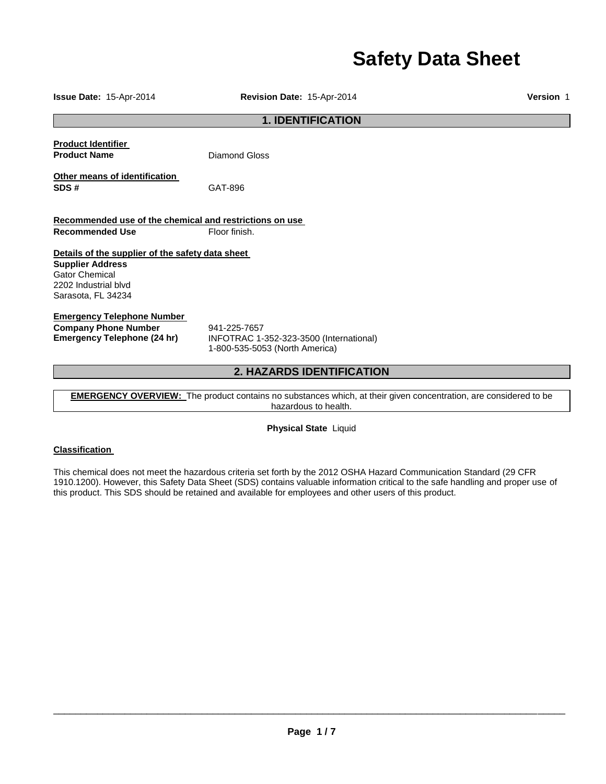# **Safety Data Sheet**

**1. IDENTIFICATION Product Identifier Product Name Diamond Gloss Other means of identification SDS #** GAT-896 **Recommended use of the chemical and restrictions on use Recommended Use Floor finish. Details of the supplier of the safety data sheet Supplier Address** Gator Chemical 2202 Industrial blvd Sarasota, FL 34234 **Emergency Telephone Number Company Phone Number** 941-225-7657<br>**Emergency Telephone (24 hr)** INFOTRAC 1-**Emergency Telephone (24 hr)** INFOTRAC 1-352-323-3500 (International) 1-800-535-5053 (North America) **2. HAZARDS IDENTIFICATION** 

**EMERGENCY OVERVIEW:** The product contains no substances which, at their given concentration, are considered to be hazardous to health.

**Physical State** Liquid

## **Classification**

This chemical does not meet the hazardous criteria set forth by the 2012 OSHA Hazard Communication Standard (29 CFR 1910.1200). However, this Safety Data Sheet (SDS) contains valuable information critical to the safe handling and proper use of this product. This SDS should be retained and available for employees and other users of this product.

\_\_\_\_\_\_\_\_\_\_\_\_\_\_\_\_\_\_\_\_\_\_\_\_\_\_\_\_\_\_\_\_\_\_\_\_\_\_\_\_\_\_\_\_\_\_\_\_\_\_\_\_\_\_\_\_\_\_\_\_\_\_\_\_\_\_\_\_\_\_\_\_\_\_\_\_\_\_\_\_\_\_\_\_\_\_\_\_\_\_\_\_\_

**Issue Date:** 15-Apr-2014 **Revision Date:** 15-Apr-2014 **Version** 1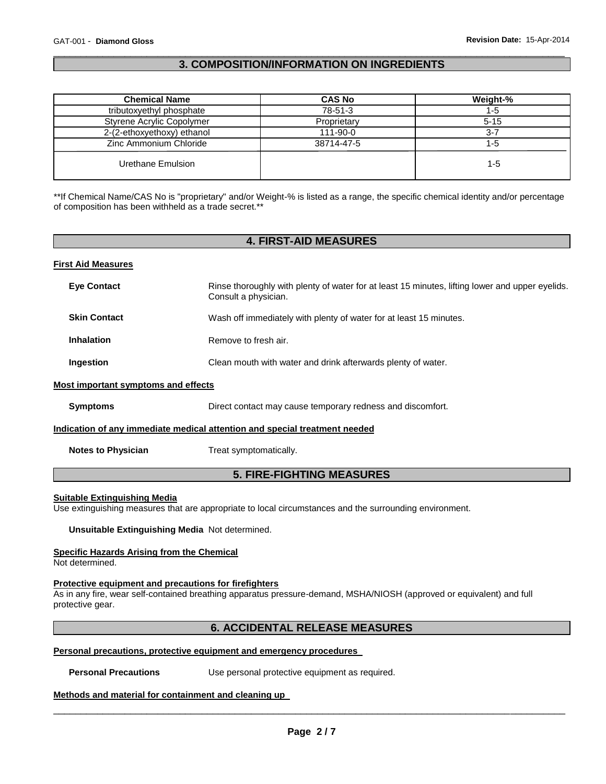## \_\_\_\_\_\_\_\_\_\_\_\_\_\_\_\_\_\_\_\_\_\_\_\_\_\_\_\_\_\_\_\_\_\_\_\_\_\_\_\_\_\_\_\_\_\_\_\_\_\_\_\_\_\_\_\_\_\_\_\_\_\_\_\_\_\_\_\_\_\_\_\_\_\_\_\_\_\_\_\_\_\_\_\_\_\_\_\_\_\_\_\_\_ **3. COMPOSITION/INFORMATION ON INGREDIENTS**

| <b>Chemical Name</b>       | <b>CAS No</b> | Weight-% |
|----------------------------|---------------|----------|
| tributoxyethyl phosphate   | 78-51-3       | 1-5      |
| Styrene Acrylic Copolymer  | Proprietary   | $5 - 15$ |
| 2-(2-ethoxyethoxy) ethanol | 111-90-0      | $3 - 7$  |
| Zinc Ammonium Chloride     | 38714-47-5    | 1-5      |
| Urethane Emulsion          |               | $1 - 5$  |

\*\*If Chemical Name/CAS No is "proprietary" and/or Weight-% is listed as a range, the specific chemical identity and/or percentage of composition has been withheld as a trade secret.\*\*

# **4. FIRST-AID MEASURES**

#### **First Aid Measures**

| <b>Eye Contact</b>                  | Rinse thoroughly with plenty of water for at least 15 minutes, lifting lower and upper eyelids.<br>Consult a physician. |
|-------------------------------------|-------------------------------------------------------------------------------------------------------------------------|
| <b>Skin Contact</b>                 | Wash off immediately with plenty of water for at least 15 minutes.                                                      |
| <b>Inhalation</b>                   | Remove to fresh air.                                                                                                    |
| Ingestion                           | Clean mouth with water and drink afterwards plenty of water.                                                            |
| Most important symptoms and effects |                                                                                                                         |
| <b>Symptoms</b>                     | Direct contact may cause temporary redness and discomfort.                                                              |
|                                     | Indication of any immediate medical attention and special treatment needed                                              |
| <b>Notes to Physician</b>           | Treat symptomatically.                                                                                                  |

# **5. FIRE-FIGHTING MEASURES**

#### **Suitable Extinguishing Media**

Use extinguishing measures that are appropriate to local circumstances and the surrounding environment.

**Unsuitable Extinguishing Media** Not determined.

## **Specific Hazards Arising from the Chemical**

Not determined.

## **Protective equipment and precautions for firefighters**

As in any fire, wear self-contained breathing apparatus pressure-demand, MSHA/NIOSH (approved or equivalent) and full protective gear.

# **6. ACCIDENTAL RELEASE MEASURES**

#### **Personal precautions, protective equipment and emergency procedures**

**Personal Precautions Use personal protective equipment as required.** 

#### **Methods and material for containment and cleaning up**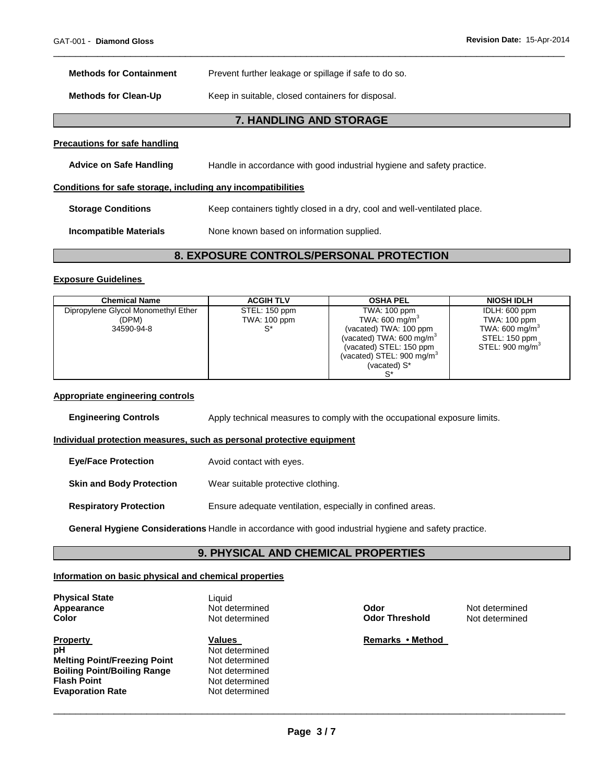| <b>Methods for Containment</b>                               | Prevent further leakage or spillage if safe to do so.                    |
|--------------------------------------------------------------|--------------------------------------------------------------------------|
| <b>Methods for Clean-Up</b>                                  | Keep in suitable, closed containers for disposal.                        |
|                                                              | <b>7. HANDLING AND STORAGE</b>                                           |
| <b>Precautions for safe handling</b>                         |                                                                          |
| <b>Advice on Safe Handling</b>                               | Handle in accordance with good industrial hygiene and safety practice.   |
| Conditions for safe storage, including any incompatibilities |                                                                          |
| <b>Storage Conditions</b>                                    | Keep containers tightly closed in a dry, cool and well-ventilated place. |
| <b>Incompatible Materials</b>                                | None known based on information supplied.                                |
|                                                              |                                                                          |

# **8. EXPOSURE CONTROLS/PERSONAL PROTECTION**

\_\_\_\_\_\_\_\_\_\_\_\_\_\_\_\_\_\_\_\_\_\_\_\_\_\_\_\_\_\_\_\_\_\_\_\_\_\_\_\_\_\_\_\_\_\_\_\_\_\_\_\_\_\_\_\_\_\_\_\_\_\_\_\_\_\_\_\_\_\_\_\_\_\_\_\_\_\_\_\_\_\_\_\_\_\_\_\_\_\_\_\_\_

#### **Exposure Guidelines**

| <b>Chemical Name</b>                                       | <b>ACGIH TLV</b>              | <b>OSHA PEL</b>                                                                                                                                                         | <b>NIOSH IDLH</b>                                                                                           |
|------------------------------------------------------------|-------------------------------|-------------------------------------------------------------------------------------------------------------------------------------------------------------------------|-------------------------------------------------------------------------------------------------------------|
| Dipropylene Glycol Monomethyl Ether<br>(DPM)<br>34590-94-8 | STEL: 150 ppm<br>TWA: 100 ppm | TWA: 100 ppm<br>TWA: 600 mg/m <sup>3</sup><br>(vacated) TWA: 100 ppm<br>(vacated) TWA: 600 mg/m <sup>3</sup><br>(vacated) STEL: 150 ppm<br>(vacated) STEL: 900 mg/m $3$ | IDLH: 600 ppm<br>TWA: 100 ppm<br>TWA: 600 mg/m <sup>3</sup><br>STEL: 150 ppm<br>STEL: 900 mg/m <sup>3</sup> |
|                                                            |                               | (vacated) S*                                                                                                                                                            |                                                                                                             |

#### **Appropriate engineering controls**

**Engineering Controls Apply technical measures to comply with the occupational exposure limits.** 

## **Individual protection measures, such as personal protective equipment**

| <b>Eye/Face Protection</b>      | Avoid contact with eyes.                                   |
|---------------------------------|------------------------------------------------------------|
| <b>Skin and Body Protection</b> | Wear suitable protective clothing.                         |
| <b>Respiratory Protection</b>   | Ensure adequate ventilation, especially in confined areas. |

**General Hygiene Considerations** Handle in accordance with good industrial hygiene and safety practice.

## **9. PHYSICAL AND CHEMICAL PROPERTIES**

#### **Information on basic physical and chemical properties**

**Physical State Contract Exercise State Contract Exercise State Liquid Appearance** 

**Property Construction Values Construction Values Remarks • Method pH** Not determined<br> **Melting Point/Freezing Point** Not determined **Melting Point/Freezing Point Mot determined Boiling Point/Boiling Range Mot determined Boiling Point/Boiling Range<br>Flash Point Evaporation Rate** 

**Not determined**<br>Not determined

**Apple determined Motion Codor Codor Chapter Apple determined Not determined Not determined Not determined Not determined Not determined Not determined Not determined Not determined Not determined Not determined Not determ Color Not determined Odor Threshold ODOR**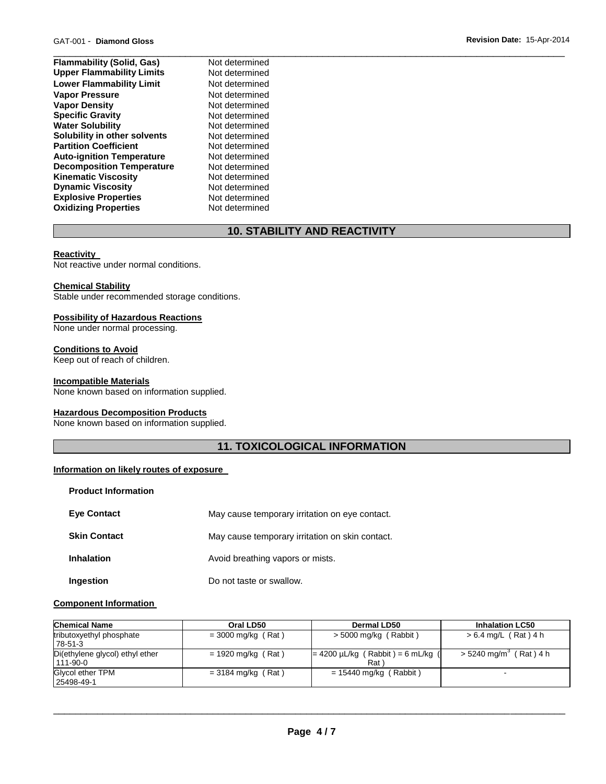| <b>Flammability (Solid, Gas)</b> | Not determined |  |
|----------------------------------|----------------|--|
| <b>Upper Flammability Limits</b> | Not determined |  |
| <b>Lower Flammability Limit</b>  | Not determined |  |
| <b>Vapor Pressure</b>            | Not determined |  |
| <b>Vapor Density</b>             | Not determined |  |
| <b>Specific Gravity</b>          | Not determined |  |
| <b>Water Solubility</b>          | Not determined |  |
| Solubility in other solvents     | Not determined |  |
| <b>Partition Coefficient</b>     | Not determined |  |
| <b>Auto-ignition Temperature</b> | Not determined |  |
| <b>Decomposition Temperature</b> | Not determined |  |
| <b>Kinematic Viscosity</b>       | Not determined |  |
| <b>Dynamic Viscosity</b>         | Not determined |  |
| <b>Explosive Properties</b>      | Not determined |  |
| <b>Oxidizing Properties</b>      | Not determined |  |

# **10. STABILITY AND REACTIVITY**

#### **Reactivity**

Not reactive under normal conditions.

#### **Chemical Stability**

Stable under recommended storage conditions.

#### **Possibility of Hazardous Reactions**

None under normal processing.

#### **Conditions to Avoid**

Keep out of reach of children.

#### **Incompatible Materials**

None known based on information supplied.

## **Hazardous Decomposition Products**

None known based on information supplied.

# **11. TOXICOLOGICAL INFORMATION**

#### **Information on likely routes of exposure**

| <b>Product Information</b> |                                                 |
|----------------------------|-------------------------------------------------|
| <b>Eve Contact</b>         | May cause temporary irritation on eye contact.  |
| <b>Skin Contact</b>        | May cause temporary irritation on skin contact. |
| <b>Inhalation</b>          | Avoid breathing vapors or mists.                |
| Ingestion                  | Do not taste or swallow.                        |

#### **Component Information**

| <b>Chemical Name</b>                              | Oral LD50            | Dermal LD50                                                | <b>Inhalation LC50</b>               |
|---------------------------------------------------|----------------------|------------------------------------------------------------|--------------------------------------|
| tributoxyethyl phosphate<br>78-51-3               | $=$ 3000 mg/kg (Rat) | $>$ 5000 mg/kg (Rabbit)                                    | $> 6.4$ mg/L (Rat) 4 h               |
| Di(ethylene glycol) ethyl ether<br>$111 - 90 - 0$ | $= 1920$ mg/kg (Rat) | $= 4200 \mu L/kg$ (Rabbit) = 6 mL/kg (<br>Rat <sup>'</sup> | $>$ 5240 mg/m <sup>3</sup> (Rat) 4 h |
| Glycol ether TPM<br>25498-49-1                    | $=$ 3184 mg/kg (Rat) | $= 15440$ mg/kg (Rabbit)                                   | $\sim$                               |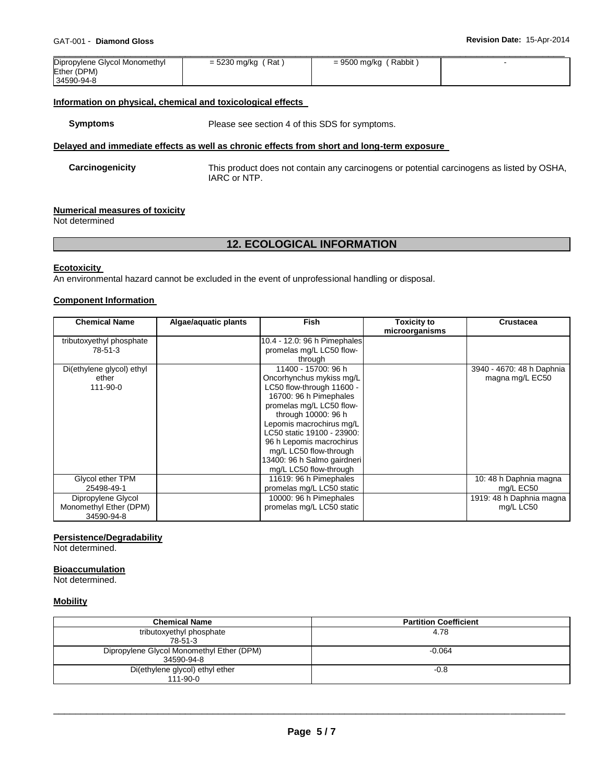| Dipropylene Glycol Monomethyl | = 5230 mg/kg (Rat) | = 9500 mg/kg (Rabbit) |  |
|-------------------------------|--------------------|-----------------------|--|
| Ether (DPM)                   |                    |                       |  |
| 34590-94-8                    |                    |                       |  |

#### **Information on physical, chemical and toxicological effects**

**Symptoms** Please see section 4 of this SDS for symptoms.

## **Delayed and immediate effects as well as chronic effects from short and long-term exposure**

**Carcinogenicity** This product does not contain any carcinogens or potential carcinogens as listed by OSHA, IARC or NTP.

#### **Numerical measures of toxicity**

Not determined

## **12. ECOLOGICAL INFORMATION**

#### **Ecotoxicity**

An environmental hazard cannot be excluded in the event of unprofessional handling or disposal.

## **Component Information**

| <b>Chemical Name</b>      | Algae/aquatic plants | <b>Fish</b>                  | Toxicity to    | <b>Crustacea</b>          |
|---------------------------|----------------------|------------------------------|----------------|---------------------------|
|                           |                      |                              | microorganisms |                           |
| tributoxyethyl phosphate  |                      | 10.4 - 12.0: 96 h Pimephales |                |                           |
| 78-51-3                   |                      | promelas mg/L LC50 flow-     |                |                           |
|                           |                      | through                      |                |                           |
| Di(ethylene glycol) ethyl |                      | 11400 - 15700: 96 h          |                | 3940 - 4670: 48 h Daphnia |
| ether                     |                      | Oncorhynchus mykiss mg/L     |                | magna mg/L EC50           |
| 111-90-0                  |                      | LC50 flow-through 11600 -    |                |                           |
|                           |                      | 16700: 96 h Pimephales       |                |                           |
|                           |                      | promelas mg/L LC50 flow-     |                |                           |
|                           |                      | through 10000: 96 h          |                |                           |
|                           |                      | Lepomis macrochirus mg/L     |                |                           |
|                           |                      | LC50 static 19100 - 23900:   |                |                           |
|                           |                      | 96 h Lepomis macrochirus     |                |                           |
|                           |                      | mg/L LC50 flow-through       |                |                           |
|                           |                      | 13400: 96 h Salmo gairdneri  |                |                           |
|                           |                      | mg/L LC50 flow-through       |                |                           |
| Glycol ether TPM          |                      | 11619: 96 h Pimephales       |                | 10: 48 h Daphnia magna    |
| 25498-49-1                |                      | promelas mg/L LC50 static    |                | mg/L EC50                 |
| Dipropylene Glycol        |                      | 10000: 96 h Pimephales       |                | 1919: 48 h Daphnia magna  |
| Monomethyl Ether (DPM)    |                      | promelas mg/L LC50 static    |                | mg/L LC50                 |
| 34590-94-8                |                      |                              |                |                           |

#### **Persistence/Degradability**

Not determined.

#### **Bioaccumulation**

Not determined.

#### **Mobility**

| <b>Chemical Name</b>                      | <b>Partition Coefficient</b> |
|-------------------------------------------|------------------------------|
| tributoxyethyl phosphate                  | 4.78                         |
| 78-51-3                                   |                              |
| Dipropylene Glycol Monomethyl Ether (DPM) | $-0.064$                     |
| 34590-94-8                                |                              |
| Di(ethylene glycol) ethyl ether           | $-0.8$                       |
| $111 - 90 - 0$                            |                              |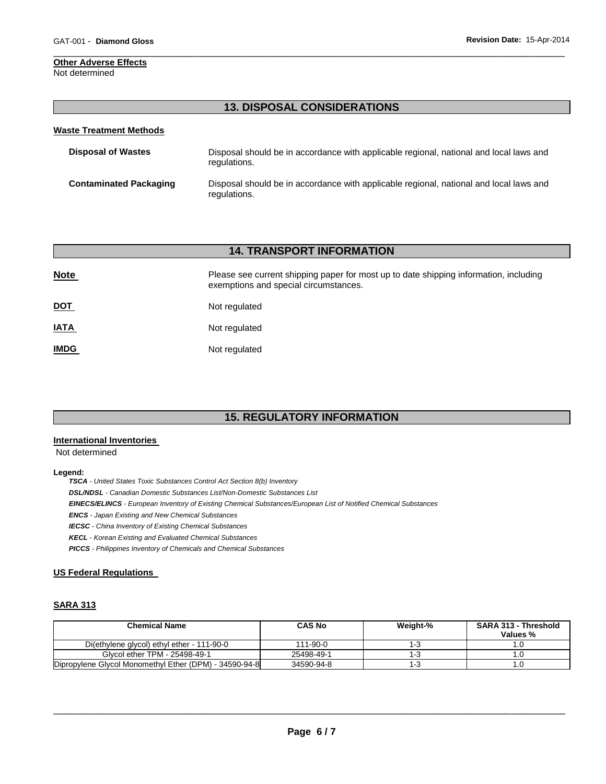#### **Other Adverse Effects** Not determined

## **13. DISPOSAL CONSIDERATIONS**

\_\_\_\_\_\_\_\_\_\_\_\_\_\_\_\_\_\_\_\_\_\_\_\_\_\_\_\_\_\_\_\_\_\_\_\_\_\_\_\_\_\_\_\_\_\_\_\_\_\_\_\_\_\_\_\_\_\_\_\_\_\_\_\_\_\_\_\_\_\_\_\_\_\_\_\_\_\_\_\_\_\_\_\_\_\_\_\_\_\_\_\_\_

| <b>Waste Treatment Methods</b> |                                                                                                        |
|--------------------------------|--------------------------------------------------------------------------------------------------------|
| <b>Disposal of Wastes</b>      | Disposal should be in accordance with applicable regional, national and local laws and<br>regulations. |
| <b>Contaminated Packaging</b>  | Disposal should be in accordance with applicable regional, national and local laws and<br>regulations. |

## **14. TRANSPORT INFORMATION**

| <b>Note</b> | Please see current shipping paper for most up to date shipping information, including<br>exemptions and special circumstances. |
|-------------|--------------------------------------------------------------------------------------------------------------------------------|
| <u>DOT</u>  | Not regulated                                                                                                                  |
| <b>IATA</b> | Not regulated                                                                                                                  |
| <b>IMDG</b> | Not regulated                                                                                                                  |

# **15. REGULATORY INFORMATION**

## **International Inventories**

Not determined

#### **Legend:**

*TSCA - United States Toxic Substances Control Act Section 8(b) Inventory DSL/NDSL - Canadian Domestic Substances List/Non-Domestic Substances List EINECS/ELINCS - European Inventory of Existing Chemical Substances/European List of Notified Chemical Substances ENCS - Japan Existing and New Chemical Substances IECSC - China Inventory of Existing Chemical Substances KECL - Korean Existing and Evaluated Chemical Substances PICCS - Philippines Inventory of Chemicals and Chemical Substances* 

## **US Federal Regulations**

## **SARA 313**

| <b>Chemical Name</b>                                   | <b>CAS No</b>  | Weight-% | <b>SARA 313 - Threshold</b><br>Values % |
|--------------------------------------------------------|----------------|----------|-----------------------------------------|
| Di(ethylene glycol) ethyl ether - 111-90-0             | $111 - 90 - 0$ | ن - ا    |                                         |
| Glycol ether TPM - 25498-49-1                          | 25498-49-1     | 1-3      |                                         |
| Dipropylene Glycol Monomethyl Ether (DPM) - 34590-94-8 | 34590-94-8     | 1-3      |                                         |